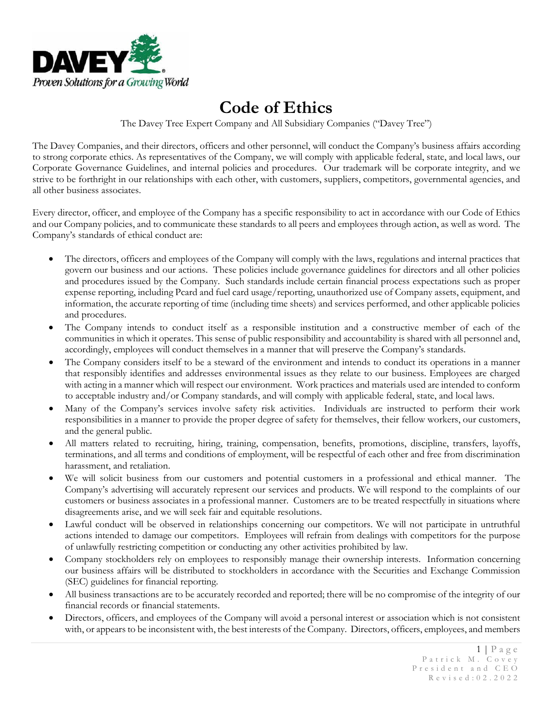

## **Code of Ethics**

The Davey Tree Expert Company and All Subsidiary Companies ("Davey Tree")

The Davey Companies, and their directors, officers and other personnel, will conduct the Company's business affairs according to strong corporate ethics. As representatives of the Company, we will comply with applicable federal, state, and local laws, our Corporate Governance Guidelines, and internal policies and procedures. Our trademark will be corporate integrity, and we strive to be forthright in our relationships with each other, with customers, suppliers, competitors, governmental agencies, and all other business associates.

Every director, officer, and employee of the Company has a specific responsibility to act in accordance with our Code of Ethics and our Company policies, and to communicate these standards to all peers and employees through action, as well as word. The Company's standards of ethical conduct are:

- The directors, officers and employees of the Company will comply with the laws, regulations and internal practices that govern our business and our actions. These policies include governance guidelines for directors and all other policies and procedures issued by the Company. Such standards include certain financial process expectations such as proper expense reporting, including Pcard and fuel card usage/reporting, unauthorized use of Company assets, equipment, and information, the accurate reporting of time (including time sheets) and services performed, and other applicable policies and procedures.
- The Company intends to conduct itself as a responsible institution and a constructive member of each of the communities in which it operates. This sense of public responsibility and accountability is shared with all personnel and, accordingly, employees will conduct themselves in a manner that will preserve the Company's standards.
- The Company considers itself to be a steward of the environment and intends to conduct its operations in a manner that responsibly identifies and addresses environmental issues as they relate to our business. Employees are charged with acting in a manner which will respect our environment. Work practices and materials used are intended to conform to acceptable industry and/or Company standards, and will comply with applicable federal, state, and local laws.
- Many of the Company's services involve safety risk activities. Individuals are instructed to perform their work responsibilities in a manner to provide the proper degree of safety for themselves, their fellow workers, our customers, and the general public.
- All matters related to recruiting, hiring, training, compensation, benefits, promotions, discipline, transfers, layoffs, terminations, and all terms and conditions of employment, will be respectful of each other and free from discrimination harassment, and retaliation.
- We will solicit business from our customers and potential customers in a professional and ethical manner. The Company's advertising will accurately represent our services and products. We will respond to the complaints of our customers or business associates in a professional manner. Customers are to be treated respectfully in situations where disagreements arise, and we will seek fair and equitable resolutions.
- Lawful conduct will be observed in relationships concerning our competitors. We will not participate in untruthful actions intended to damage our competitors. Employees will refrain from dealings with competitors for the purpose of unlawfully restricting competition or conducting any other activities prohibited by law.
- Company stockholders rely on employees to responsibly manage their ownership interests. Information concerning our business affairs will be distributed to stockholders in accordance with the Securities and Exchange Commission (SEC) guidelines for financial reporting.
- All business transactions are to be accurately recorded and reported; there will be no compromise of the integrity of our financial records or financial statements.
- Directors, officers, and employees of the Company will avoid a personal interest or association which is not consistent with, or appears to be inconsistent with, the best interests of the Company. Directors, officers, employees, and members